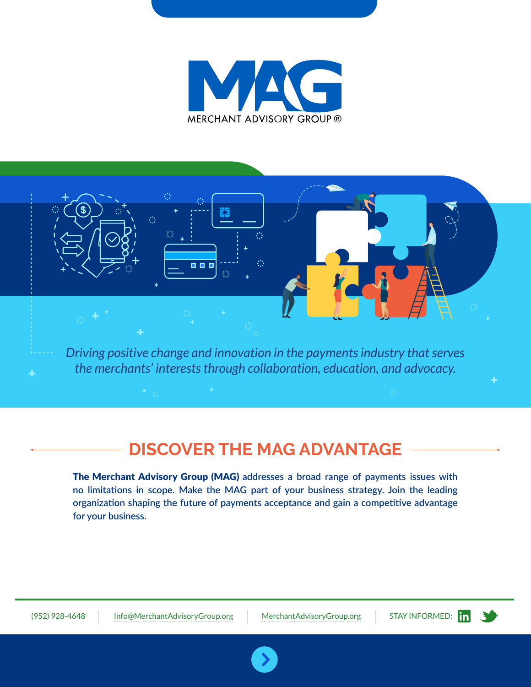



*Driving positive change and innovation in the payments industry that serves the merchants' interests through collaboration, education, and advocacy.*

# **DISCOVER THE MAG ADVANTAGE**

The Merchant Advisory Group (MAG) **addresses a broad range of payments issues with no limitations in scope. Make the MAG part of your business strategy. Join the leading organization shaping the future of payments acceptance and gain a competitive advantage for your business.**

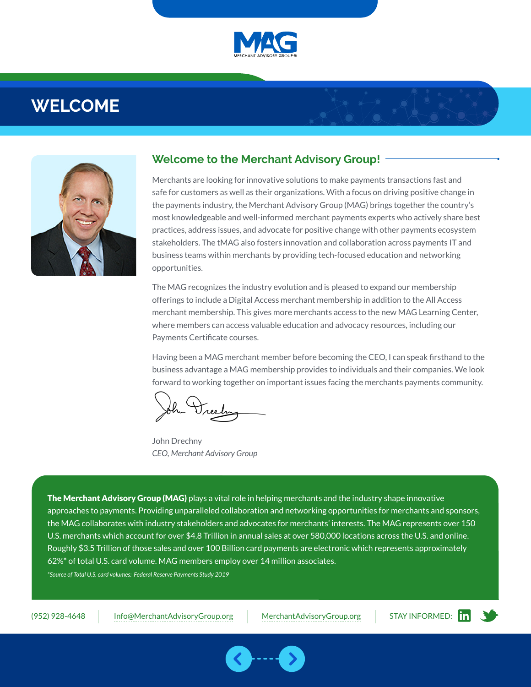

# **WELCOME**



### **Welcome to the Merchant Advisory Group!**

Merchants are looking for innovative solutions to make payments transactions fast and safe for customers as well as their organizations. With a focus on driving positive change in the payments industry, the Merchant Advisory Group (MAG) brings together the country's most knowledgeable and well-informed merchant payments experts who actively share best practices, address issues, and advocate for positive change with other payments ecosystem stakeholders. The tMAG also fosters innovation and collaboration across payments IT and business teams within merchants by providing tech-focused education and networking opportunities.

The MAG recognizes the industry evolution and is pleased to expand our membership offerings to include a Digital Access merchant membership in addition to the All Access merchant membership. This gives more merchants access to the new MAG Learning Center, where members can access valuable education and advocacy resources, including our Payments Certificate courses.

Having been a MAG merchant member before becoming the CEO, I can speak firsthand to the business advantage a MAG membership provides to individuals and their companies. We look forward to working together on important issues facing the merchants payments community.

John Drechny *CEO, Merchant Advisory Group*

The Merchant Advisory Group (MAG) plays a vital role in helping merchants and the industry shape innovative approaches to payments. Providing unparalleled collaboration and networking opportunities for merchants and sponsors, the MAG collaborates with industry stakeholders and advocates for merchants' interests. The MAG represents over 150 U.S. merchants which account for over \$4.8 Trillion in annual sales at over 580,000 locations across the U.S. and online. Roughly \$3.5 Trillion of those sales and over 100 Billion card payments are electronic which represents approximately 62%\* of total U.S. card volume. MAG members employ over 14 million associates.

*\*Source of Total U.S. card volumes: Federal Reserve Payments Study 2019*

(952) 928-4648 [Info@MerchantAdvisoryGroup.org](mailto:info%40merchantadvisorygroup.org?subject=Membership%20Brochure) [MerchantAdvisoryGroup.org](http://www.merchantadvisorygroup.org)



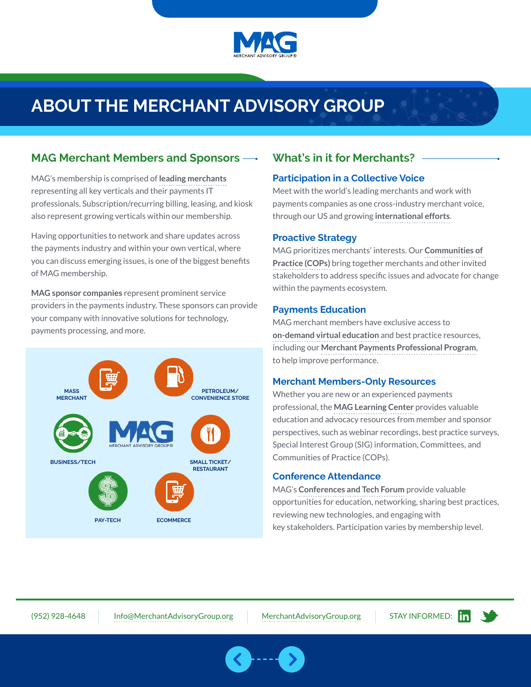

# **ABOUT THE MERCHANT ADVISORY GROUP**

### **MAG Merchant Members and Sponsors**

MAG's membership is comprised of **[leading merchants](https://www.merchantadvisorygroup.org/join/member)** representing all key verticals and their payments IT professionals. Subscription/recurring billing, leasing, and kiosk also represent growing verticals within our membership.

Having opportunities to network and share updates across the payments industry and within your own vertical, where you can discuss emerging issues, is one of the biggest benefits of MAG membership.

**[MAG sponsor companies](https://www.merchantadvisorygroup.org/join/sponsor)** represent prominent service providers in the payments industry. These sponsors can provide your company with innovative solutions for technology, payments processing, and more.



## **What's in it for Merchants?**

#### **Participation in a Collective Voice**

Meet with the world's leading merchants and work with payments companies as one cross-industry merchant voice, through our US and growing **[international efforts](https://www.merchantadvisorygroup.org/engagement/committees/international-committee)**.

#### **Proactive Strategy**

MAG prioritizes merchants' interests. Our **[Communities of](https://www.merchantadvisorygroup.org/engagement/cops)  [Practice \(COPs\)](https://www.merchantadvisorygroup.org/engagement/cops)** bring together merchants and other invited stakeholders to address specific issues and advocate for change within the payments ecosystem.

#### **Payments Education**

MAG merchant members have exclusive access to **[on-demand virtual education](https://www.pathlms.com/mag)** and best practice resources, including our **[Merchant Payments Professional Program](https://www.merchantadvisorygroup.org/education/merchant-payments-100-level)**, to help improve performance.

#### **Merchant Members-Only Resources**

Whether you are new or an experienced payments professional, the **[MAG Learning Center](https://www.pathlms.com/mag)** provides valuable education and advocacy resources from member and sponsor perspectives, such as webinar recordings, best practice surveys, Special Interest Group (SIG) information, Committees, and Communities of Practice (COPs).

#### **Conference Attendance**

MAG's **[Conferences and Tech Forum](https://www.merchantadvisorygroup.org/mag-calendar/#conferences)** provide valuable opportunities for education, networking, sharing best practices, reviewing new technologies, and engaging with key stakeholders. Participation varies by membership level.

(952) 928-4648 [Info@MerchantAdvisoryGroup.org](mailto:info%40merchantadvisorygroup.org?subject=Membership%20Brochure) [MerchantAdvisoryGroup.org](http://www.merchantadvisorygroup.org) STAY INFORMED: **Fine Solution** 

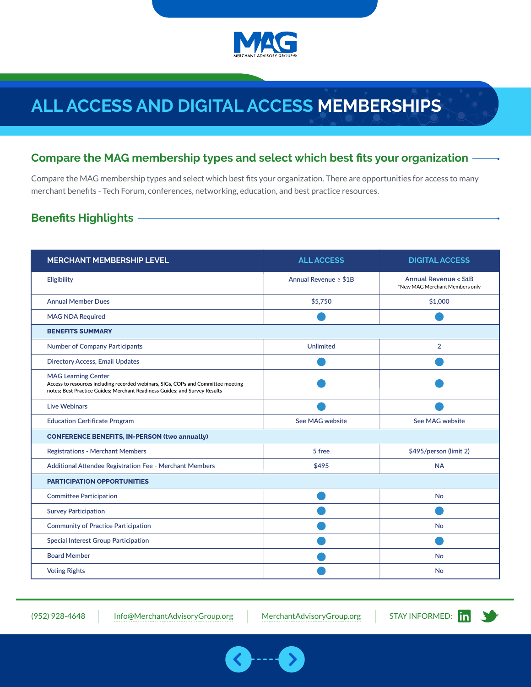

# **ALL ACCESS AND DIGITAL ACCESS MEMBERSHIPS**

### **Compare the MAG membership types and select which best fits your organization**

Compare the MAG membership types and select which best fits your organization. There are opportunities for access to many merchant benefits - Tech Forum, conferences, networking, education, and best practice resources.

## **Benefits Highlights**

| <b>MERCHANT MEMBERSHIP LEVEL</b>                                                                                                                                                              | <b>ALL ACCESS</b>          | <b>DIGITAL ACCESS</b>                                   |  |
|-----------------------------------------------------------------------------------------------------------------------------------------------------------------------------------------------|----------------------------|---------------------------------------------------------|--|
| Eligibility                                                                                                                                                                                   | Annual Revenue $\geq$ \$1B | Annual Revenue < \$1B<br>*New MAG Merchant Members only |  |
| <b>Annual Member Dues</b>                                                                                                                                                                     | \$5,750                    | \$1,000                                                 |  |
| <b>MAG NDA Required</b>                                                                                                                                                                       |                            |                                                         |  |
| <b>BENEFITS SUMMARY</b>                                                                                                                                                                       |                            |                                                         |  |
| <b>Number of Company Participants</b>                                                                                                                                                         | <b>Unlimited</b>           | $\overline{2}$                                          |  |
| <b>Directory Access, Email Updates</b>                                                                                                                                                        |                            |                                                         |  |
| <b>MAG Learning Center</b><br>Access to resources including recorded webinars, SIGs, COPs and Committee meeting<br>notes; Best Practice Guides; Merchant Readiness Guides; and Survey Results |                            |                                                         |  |
| <b>Live Webinars</b>                                                                                                                                                                          |                            |                                                         |  |
| <b>Education Certificate Program</b>                                                                                                                                                          | See MAG website            | See MAG website                                         |  |
| <b>CONFERENCE BENEFITS, IN-PERSON (two annually)</b>                                                                                                                                          |                            |                                                         |  |
| <b>Registrations - Merchant Members</b>                                                                                                                                                       | 5 free                     | \$495/person (limit 2)                                  |  |
| Additional Attendee Registration Fee - Merchant Members                                                                                                                                       | \$495                      | <b>NA</b>                                               |  |
| <b>PARTICIPATION OPPORTUNITIES</b>                                                                                                                                                            |                            |                                                         |  |
| <b>Committee Participation</b>                                                                                                                                                                |                            | <b>No</b>                                               |  |
| <b>Survey Participation</b>                                                                                                                                                                   |                            |                                                         |  |
| <b>Community of Practice Participation</b>                                                                                                                                                    |                            | <b>No</b>                                               |  |
| <b>Special Interest Group Participation</b>                                                                                                                                                   |                            |                                                         |  |
| <b>Board Member</b>                                                                                                                                                                           |                            | <b>No</b>                                               |  |
| <b>Voting Rights</b>                                                                                                                                                                          |                            | <b>No</b>                                               |  |

(952) 928-4648 [Info@MerchantAdvisoryGroup.org](mailto:info%40merchantadvisorygroup.org?subject=Membership%20Brochure) [MerchantAdvisoryGroup.org](http://www.merchantadvisorygroup.org) STAY INFORMED: In

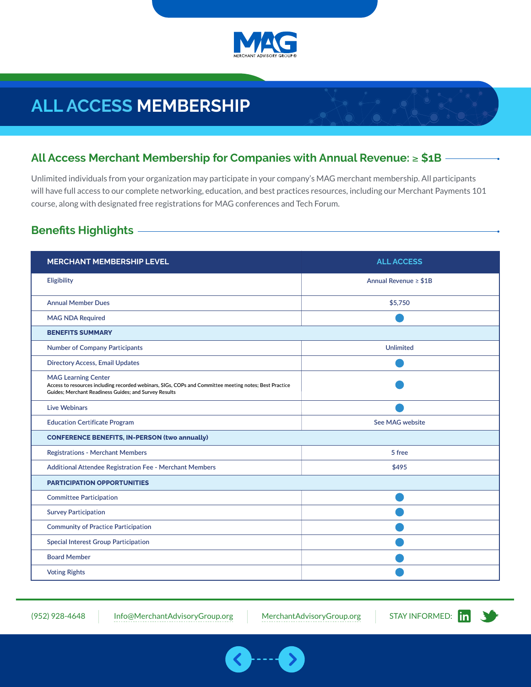

# **ALL ACCESS MEMBERSHIP**

## **All Access Merchant Membership for Companies with Annual Revenue:** ≥ **\$1B**

Unlimited individuals from your organization may participate in your company's MAG merchant membership. All participants will have full access to our complete networking, education, and best practices resources, including our Merchant Payments 101 course, along with designated free registrations for MAG conferences and Tech Forum.

## **Benefits Highlights**

| <b>MERCHANT MEMBERSHIP LEVEL</b>                                                                                                                                                              | <b>ALL ACCESS</b>          |  |  |
|-----------------------------------------------------------------------------------------------------------------------------------------------------------------------------------------------|----------------------------|--|--|
| Eligibility                                                                                                                                                                                   | Annual Revenue $\geq$ \$1B |  |  |
| <b>Annual Member Dues</b>                                                                                                                                                                     | \$5,750                    |  |  |
| <b>MAG NDA Required</b>                                                                                                                                                                       |                            |  |  |
| <b>BENEFITS SUMMARY</b>                                                                                                                                                                       |                            |  |  |
| <b>Number of Company Participants</b>                                                                                                                                                         | <b>Unlimited</b>           |  |  |
| <b>Directory Access, Email Updates</b>                                                                                                                                                        |                            |  |  |
| <b>MAG Learning Center</b><br>Access to resources including recorded webinars, SIGs, COPs and Committee meeting notes; Best Practice<br>Guides; Merchant Readiness Guides; and Survey Results |                            |  |  |
| <b>Live Webinars</b>                                                                                                                                                                          |                            |  |  |
| <b>Education Certificate Program</b>                                                                                                                                                          | See MAG website            |  |  |
| <b>CONFERENCE BENEFITS, IN-PERSON (two annually)</b>                                                                                                                                          |                            |  |  |
| <b>Registrations - Merchant Members</b>                                                                                                                                                       | 5 free                     |  |  |
| <b>Additional Attendee Registration Fee - Merchant Members</b>                                                                                                                                | \$495                      |  |  |
| <b>PARTICIPATION OPPORTUNITIES</b>                                                                                                                                                            |                            |  |  |
| <b>Committee Participation</b>                                                                                                                                                                |                            |  |  |
| <b>Survey Participation</b>                                                                                                                                                                   |                            |  |  |
| <b>Community of Practice Participation</b>                                                                                                                                                    |                            |  |  |
| <b>Special Interest Group Participation</b>                                                                                                                                                   |                            |  |  |
| <b>Board Member</b>                                                                                                                                                                           |                            |  |  |
| <b>Voting Rights</b>                                                                                                                                                                          |                            |  |  |

(952) 928-4648 [Info@MerchantAdvisoryGroup.org](mailto:info%40merchantadvisorygroup.org?subject=Membership%20Brochure) [MerchantAdvisoryGroup.org](http://www.merchantadvisorygroup.org) STAY INFORMED: [1

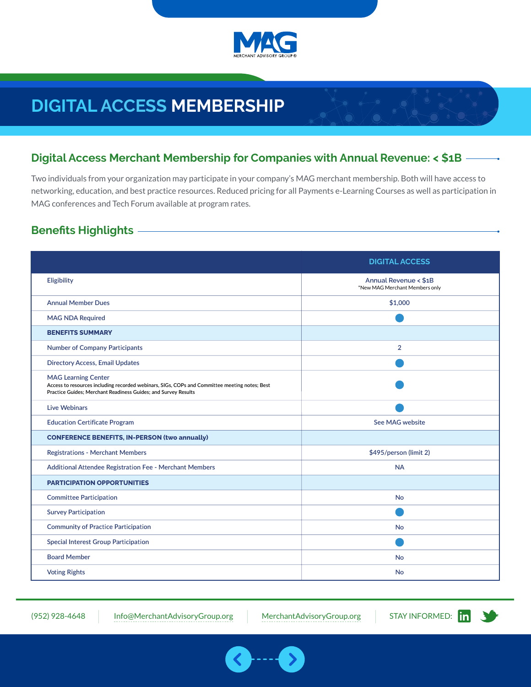

# **DIGITAL ACCESS MEMBERSHIP**

## **Digital Access Merchant Membership for Companies with Annual Revenue: < \$1B**

Two individuals from your organization may participate in your company's MAG merchant membership. Both will have access to networking, education, and best practice resources. Reduced pricing for all Payments e-Learning Courses as well as participation in MAG conferences and Tech Forum available at program rates.

## **Benefits Highlights**

|                                                                                                                                                                                               | <b>DIGITAL ACCESS</b>                                   |  |
|-----------------------------------------------------------------------------------------------------------------------------------------------------------------------------------------------|---------------------------------------------------------|--|
| Eligibility                                                                                                                                                                                   | Annual Revenue < \$1B<br>*New MAG Merchant Members only |  |
| <b>Annual Member Dues</b>                                                                                                                                                                     | \$1,000                                                 |  |
| <b>MAG NDA Required</b>                                                                                                                                                                       |                                                         |  |
| <b>BENEFITS SUMMARY</b>                                                                                                                                                                       |                                                         |  |
| <b>Number of Company Participants</b>                                                                                                                                                         | $\overline{2}$                                          |  |
| <b>Directory Access, Email Updates</b>                                                                                                                                                        |                                                         |  |
| <b>MAG Learning Center</b><br>Access to resources including recorded webinars, SIGs, COPs and Committee meeting notes; Best<br>Practice Guides; Merchant Readiness Guides; and Survey Results |                                                         |  |
| <b>Live Webinars</b>                                                                                                                                                                          |                                                         |  |
| <b>Education Certificate Program</b>                                                                                                                                                          | See MAG website                                         |  |
| <b>CONFERENCE BENEFITS, IN-PERSON (two annually)</b>                                                                                                                                          |                                                         |  |
| <b>Registrations - Merchant Members</b>                                                                                                                                                       | \$495/person (limit 2)                                  |  |
| Additional Attendee Registration Fee - Merchant Members                                                                                                                                       | <b>NA</b>                                               |  |
| <b>PARTICIPATION OPPORTUNITIES</b>                                                                                                                                                            |                                                         |  |
| <b>Committee Participation</b>                                                                                                                                                                | <b>No</b>                                               |  |
| <b>Survey Participation</b>                                                                                                                                                                   |                                                         |  |
| <b>Community of Practice Participation</b>                                                                                                                                                    | <b>No</b>                                               |  |
| <b>Special Interest Group Participation</b>                                                                                                                                                   |                                                         |  |
| <b>Board Member</b>                                                                                                                                                                           | <b>No</b>                                               |  |
| <b>Voting Rights</b>                                                                                                                                                                          | <b>No</b>                                               |  |

(952) 928-4648 [Info@MerchantAdvisoryGroup.org](mailto:info%40merchantadvisorygroup.org?subject=Membership%20Brochure) [MerchantAdvisoryGroup.org](http://www.merchantadvisorygroup.org)